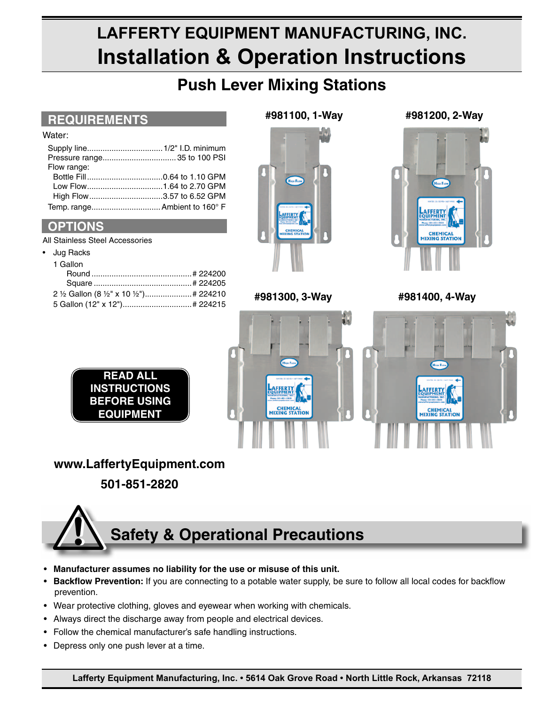# LAFFERTY EQUIPMENT MANUFACTURING, INC. **Installation & Operation Instructions**

# **Push Lever Mixing Stations**

## **REQUIREMENTS**

#### Water:

| Flow range:                   |  |
|-------------------------------|--|
|                               |  |
|                               |  |
| High Flow3.57 to 6.52 GPM     |  |
| Temp. range Ambient to 160° F |  |

### **OPTIONS**

All Stainless Steel Accessories

### Jug Racks

| 2 1/2 Gallon (8 1/2" x 10 1/2") # 224210 |  |
|------------------------------------------|--|
| 5 Gallon (12" x 12") # 224215            |  |



### #981300, 3-Wav

**AFFERT** 

**CHEMICAL**<br>MIXING STATIO

IJ

#981200, 2-Way



#981400, 4-Wav



### **READ ALL INSTRUCTIONS BEFORE USING EQUIPMENT**

# www.LaffertyEquipment.com

501-851-2820

# **Safety & Operational Precautions**

- Manufacturer assumes no liability for the use or misuse of this unit.  $\bullet$
- Backflow Prevention: If you are connecting to a potable water supply, be sure to follow all local codes for backflow  $\bullet$ prevention.
- Wear protective clothing, gloves and eyewear when working with chemicals.
- Always direct the discharge away from people and electrical devices.  $\bullet$
- Follow the chemical manufacturer's safe handling instructions.
- Depress only one push lever at a time.  $\bullet$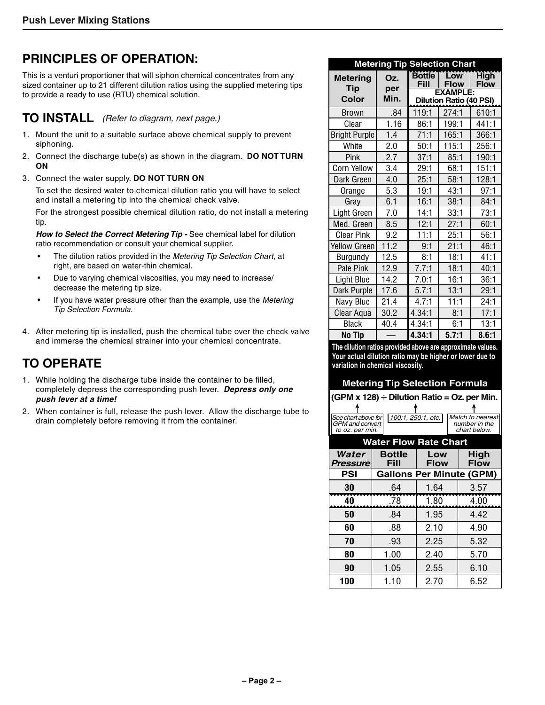# **Principles of Operation:**

This is a venturi proportioner that will siphon chemical concentrates from any sized container up to 21 different dilution ratios using the supplied metering tips to provide a ready to use (RTU) chemical solution.

### **TO INSTALL** *(Refer to diagram, next page.)*

- 1. Mount the unit to a suitable surface above chemical supply to prevent siphoning.
- 2. Connect the discharge tube(s) as shown in the diagram. **DO NOT TURN ON**
- 3. Connect the water supply. **DO NOT TURN ON**

 To set the desired water to chemical dilution ratio you will have to select and install a metering tip into the chemical check valve.

 For the strongest possible chemical dilution ratio, do not install a metering tip.

How to Select the Correct Metering Tip - See chemical label for dilution ratio recommendation or consult your chemical supplier.

- The dilution ratios provided in the *Metering Tip Selection Chart*, at right, are based on water-thin chemical.
- Due to varying chemical viscosities, you may need to increase/ decrease the metering tip size.
- If you have water pressure other than the example, use the *Metering Tip Selection Formula*.
- 4. After metering tip is installed, push the chemical tube over the check valve and immerse the chemical strainer into your chemical concentrate.

# **TO OPERATE**

- 1. While holding the discharge tube inside the container to be filled, completely depress the corresponding push lever. *Depress only one push lever at a time!*
- 2. When container is full, release the push lever. Allow the discharge tube to drain completely before removing it from the container.

|                               |            |                       | <b>Metering Tip Selection Chart</b>               |                            |
|-------------------------------|------------|-----------------------|---------------------------------------------------|----------------------------|
| <b>Metering</b><br><b>Tip</b> | Oz.<br>per | <b>Bottle</b><br>Fill | Low<br><b>Flow</b>                                | <b>High</b><br><b>Flow</b> |
| Color                         | Min.       |                       | <b>EXAMPLE:</b><br><b>Dilution Ratio (40 PSI)</b> |                            |
| <b>Brown</b>                  | .84        | 119:1                 | 274:1                                             | 610:1                      |
| Clear                         | 1.16       | 86:1                  | 199:1                                             | 441:1                      |
| <b>Bright Purple</b>          | 1.4        | 71:1                  | 165:1                                             | 366:1                      |
| White                         | 2.0        | 50:1                  | 115:1                                             | 256:1                      |
| Pink                          | 2.7        | 37:1                  | 85:1                                              | 190:1                      |
| <b>Corn Yellow</b>            | 3.4        | 29:1                  | 68:1                                              | 151:1                      |
| Dark Green                    | 4.0        | 25:1                  | 58:1                                              | 128:1                      |
| Orange                        | 5.3        | 19:1                  | 43:1                                              | 97:1                       |
| Grav                          | 6.1        | 16:1                  | 38:1                                              | 84:1                       |
| Light Green                   | 7.0        | 14:1                  | 33:1                                              | 73:1                       |
| Med. Green                    | 8.5        | 12:1                  | 27:1                                              | 60:1                       |
| <b>Clear Pink</b>             | 9.2        | 11:1                  | 25:1                                              | 56:1                       |
| <b>Yellow Green</b>           | 11.2       | 9:1                   | 21:1                                              | 46:1                       |
| Burgundy                      | 12.5       | 8:1                   | 18:1                                              | 41:1                       |
| Pale Pink                     | 12.9       | 7.7:1                 | 18:1                                              | 40:1                       |
| Light Blue                    | 14.2       | 7.0:1                 | 16:1                                              | 36:1                       |
| Dark Purple                   | 17.6       | 5.7:1                 | 13:1                                              | 29:1                       |
| Navy Blue                     | 21.4       | 4.7:1                 | 11:1                                              | 24:1                       |
| Clear Aqua                    | 30.2       | 4.34:1                | 8:1                                               | 17:1                       |
| Black                         | 40.4       | 4.34:1                | 6:1                                               | 13:1                       |
| <b>No Tip</b>                 |            | 4.34:1                | 5.7:1                                             | 8.6:1                      |

The dilution ratios provided above are approximate values. Your actual dilution ratio may be higher or lower due to variation in chemical viscosity.

### **Metering Tip Selection Formula**

### $(GPM x 128) \div Dilution Ratio = Oz. per Min.$

| See chart above for<br><b>GPM</b> and convert<br>to oz. per min. | 100:1, 250:1, etc.    |                    | Match to nearest<br>number in the<br>chart below. |
|------------------------------------------------------------------|-----------------------|--------------------|---------------------------------------------------|
| <b>Water Flow Rate Chart</b>                                     |                       |                    |                                                   |
| Water<br>Pressure                                                | <b>Bottle</b><br>Fill | Low<br><b>Flow</b> | High<br><b>Flow</b>                               |
| <b>PSI</b>                                                       |                       |                    | <b>Gallons Per Minute (GPM)</b>                   |
| 30                                                               | .64                   | 1.64               | 3.57                                              |
| 40                                                               | .78                   | 1.80               | 4.00                                              |
| 50                                                               | .84                   | 1.95               | 4.42                                              |
| 60                                                               | .88                   | 2.10               | 4.90                                              |
| 70                                                               | .93                   | 2.25               | 5.32                                              |
| 80                                                               | 1.00                  | 2.40               | 5.70                                              |
| 90                                                               | 1.05                  | 2.55               | 6.10                                              |
| 100                                                              | 1.10                  | 2.70               | 6.52                                              |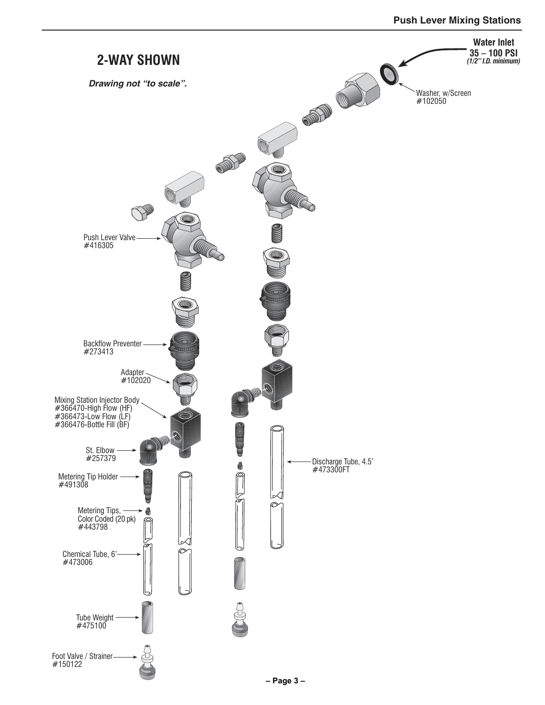